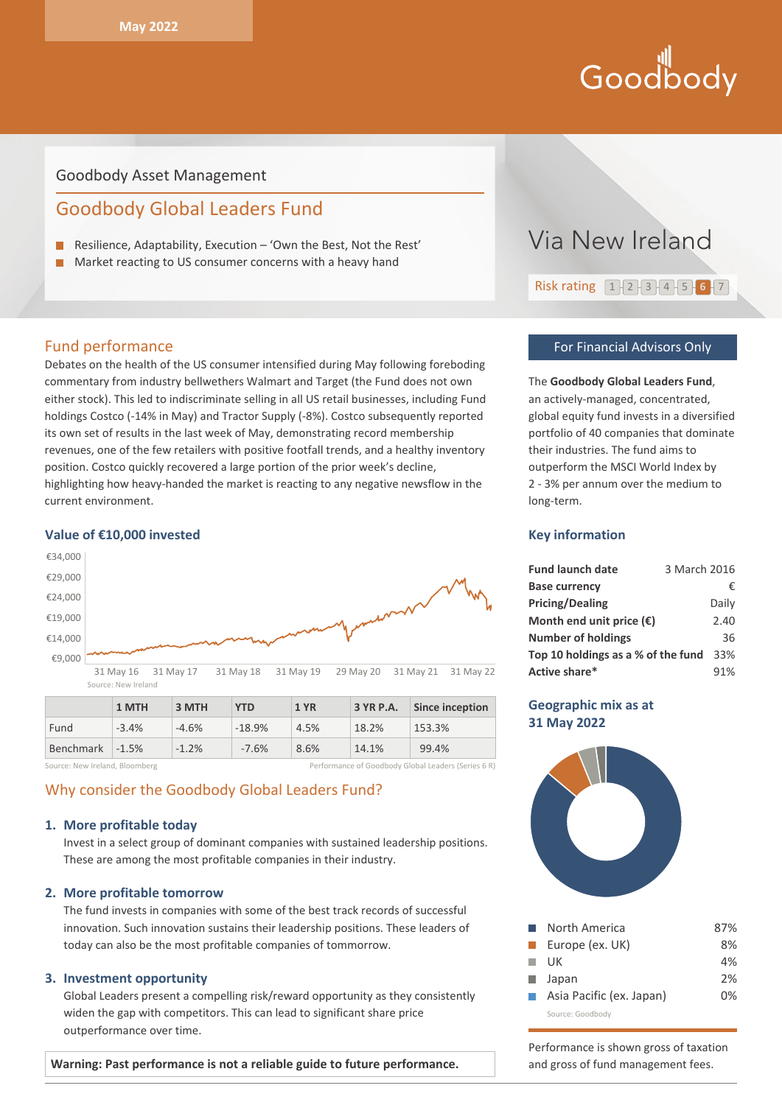# Goodbody

### Goodbody Asset Management

# Goodbody Global Leaders Fund

- Resilience, Adaptability, Execution 'Own the Best, Not the Rest'
- п Market reacting to US consumer concerns with a heavy hand

#### Fund performance

Debates on the health of the US consumer intensified during May following foreboding commentary from industry bellwethers Walmart and Target (the Fund does not own either stock). This led to indiscriminate selling in all US retail businesses, including Fund holdings Costco (-14% in May) and Tractor Supply (-8%). Costco subsequently reported its own set of results in the last week of May, demonstrating record membership revenues, one of the few retailers with positive footfall trends, and a healthy inventory position. Costco quickly recovered a large portion of the prior week's decline, highlighting how heavy-handed the market is reacting to any negative newsflow in the current environment.

#### **Value of €10,000 invested**



|                 | 1 MTH   | 3 MTH   | <b>YTD</b> | <b>1 YR</b> | 3 YR P.A. | Since inception |
|-----------------|---------|---------|------------|-------------|-----------|-----------------|
| Fund            | $-3.4%$ | $-4.6%$ | $-18.9%$   | 4.5%        | 18.2%     | 153.3%          |
| Benchmark -1.5% |         | $-1.2%$ | $-7.6%$    | 8.6%        | 14.1%     | 99.4%           |

Source: New Ireland, Bloomberg **Performance of Goodbody Global Leaders (Series 6 R)** 

## Why consider the Goodbody Global Leaders Fund?

#### **1. More profitable today**

Invest in a select group of dominant companies with sustained leadership positions. These are among the most profitable companies in their industry.

#### **2. More profitable tomorrow**

The fund invests in companies with some of the best track records of successful innovation. Such innovation sustains their leadership positions. These leaders of today can also be the most profitable companies of tommorrow.

#### **3. Investment opportunity**

Global Leaders present a compelling risk/reward opportunity as they consistently widen the gap with competitors. This can lead to significant share price outperformance over time.

#### **Warning: Past performance is not a reliable guide to future performance.**



# Risk rating 1 2 3 4 5 **6** 7

#### For Financial Advisors Only

The **Goodbody Global Leaders Fund**, an actively-managed, concentrated, global equity fund invests in a diversified portfolio of 40 companies that dominate their industries. The fund aims to outperform the MSCI World Index by 2 - 3% per annum over the medium to long-term.

#### **Key information**

| <b>Fund launch date</b>            | 3 March 2016 |       |
|------------------------------------|--------------|-------|
| <b>Base currency</b>               |              | €     |
| <b>Pricing/Dealing</b>             |              | Daily |
| Month end unit price $(\epsilon)$  |              | 2.40  |
| <b>Number of holdings</b>          |              | 36    |
| Top 10 holdings as a % of the fund |              | 33%   |
| Active share*                      |              | 91%   |

#### **Geographic mix as at 31 May 2022**



| a a shekara     | North America            | 87% |
|-----------------|--------------------------|-----|
| a ka            | Europe (ex. UK)          | 8%  |
| a a s           | UK                       | 4%  |
|                 | <b>■</b> Japan           | 2%  |
| <b>Contract</b> | Asia Pacific (ex. Japan) | በ%  |
|                 | Source: Goodbody         |     |

Performance is shown gross of taxation and gross of fund management fees.